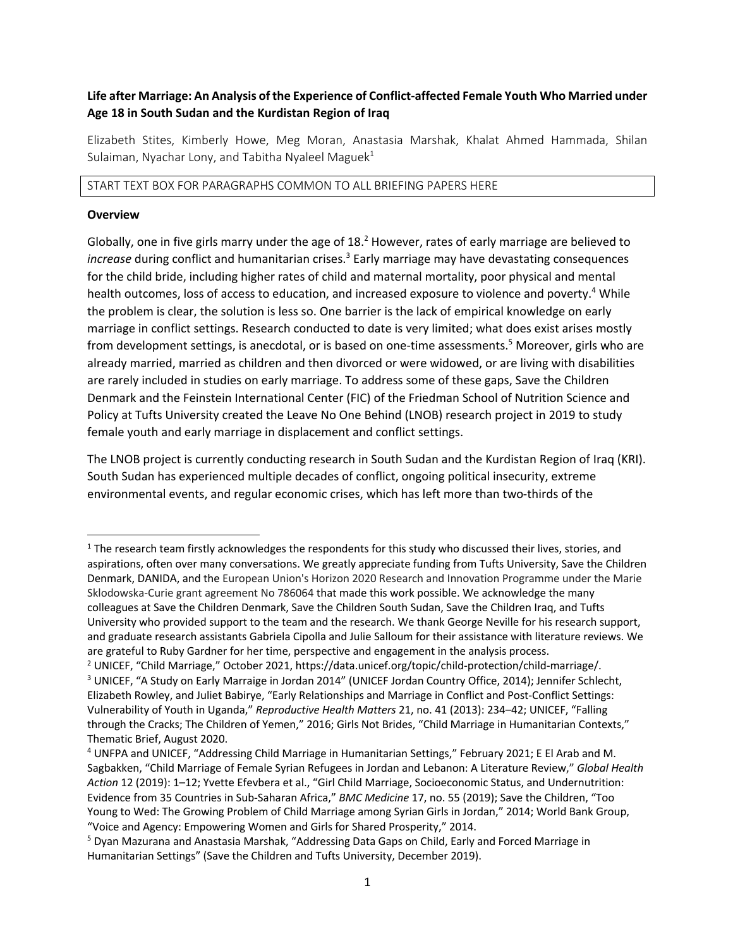# **Life after Marriage: An Analysis of the Experience of Conflict-affected Female Youth Who Married under Age 18 in South Sudan and the Kurdistan Region of Iraq**

Elizabeth Stites, Kimberly Howe, Meg Moran, Anastasia Marshak, Khalat Ahmed Hammada, Shilan Sulaiman, Nyachar Lony, and Tabitha Nyaleel Maguek<sup>1</sup>

#### START TEXT BOX FOR PARAGRAPHS COMMON TO ALL BRIEFING PAPERS HERE

#### **Overview**

Globally, one in five girls marry under the age of  $18<sup>2</sup>$  However, rates of early marriage are believed to *increase* during conflict and humanitarian crises.<sup>3</sup> Early marriage may have devastating consequences for the child bride, including higher rates of child and maternal mortality, poor physical and mental health outcomes, loss of access to education, and increased exposure to violence and poverty.<sup>4</sup> While the problem is clear, the solution is less so. One barrier is the lack of empirical knowledge on early marriage in conflict settings. Research conducted to date is very limited; what does exist arises mostly from development settings, is anecdotal, or is based on one-time assessments.<sup>5</sup> Moreover, girls who are already married, married as children and then divorced or were widowed, or are living with disabilities are rarely included in studies on early marriage. To address some of these gaps, Save the Children Denmark and the Feinstein International Center (FIC) of the Friedman School of Nutrition Science and Policy at Tufts University created the Leave No One Behind (LNOB) research project in 2019 to study female youth and early marriage in displacement and conflict settings.

The LNOB project is currently conducting research in South Sudan and the Kurdistan Region of Iraq (KRI). South Sudan has experienced multiple decades of conflict, ongoing political insecurity, extreme environmental events, and regular economic crises, which has left more than two-thirds of the

 $1$  The research team firstly acknowledges the respondents for this study who discussed their lives, stories, and aspirations, often over many conversations. We greatly appreciate funding from Tufts University, Save the Children Denmark, DANIDA, and the European Union's Horizon 2020 Research and Innovation Programme under the Marie Sklodowska-Curie grant agreement No 786064 that made this work possible. We acknowledge the many colleagues at Save the Children Denmark, Save the Children South Sudan, Save the Children Iraq, and Tufts University who provided support to the team and the research. We thank George Neville for his research support, and graduate research assistants Gabriela Cipolla and Julie Salloum for their assistance with literature reviews. We are grateful to Ruby Gardner for her time, perspective and engagement in the analysis process.

<sup>&</sup>lt;sup>2</sup> UNICEF, "Child Marriage," October 2021, https://data.unicef.org/topic/child-protection/child-marriage/. <sup>3</sup> UNICEF, "A Study on Early Marraige in Jordan 2014" (UNICEF Jordan Country Office, 2014); Jennifer Schlecht, Elizabeth Rowley, and Juliet Babirye, "Early Relationships and Marriage in Conflict and Post-Conflict Settings: Vulnerability of Youth in Uganda," *Reproductive Health Matters* 21, no. 41 (2013): 234–42; UNICEF, "Falling through the Cracks; The Children of Yemen," 2016; Girls Not Brides, "Child Marriage in Humanitarian Contexts," Thematic Brief, August 2020.

<sup>4</sup> UNFPA and UNICEF, "Addressing Child Marriage in Humanitarian Settings," February 2021; E El Arab and M. Sagbakken, "Child Marriage of Female Syrian Refugees in Jordan and Lebanon: A Literature Review," *Global Health Action* 12 (2019): 1–12; Yvette Efevbera et al., "Girl Child Marriage, Socioeconomic Status, and Undernutrition: Evidence from 35 Countries in Sub-Saharan Africa," *BMC Medicine* 17, no. 55 (2019); Save the Children, "Too Young to Wed: The Growing Problem of Child Marriage among Syrian Girls in Jordan," 2014; World Bank Group, "Voice and Agency: Empowering Women and Girls for Shared Prosperity," 2014.

<sup>5</sup> Dyan Mazurana and Anastasia Marshak, "Addressing Data Gaps on Child, Early and Forced Marriage in Humanitarian Settings" (Save the Children and Tufts University, December 2019).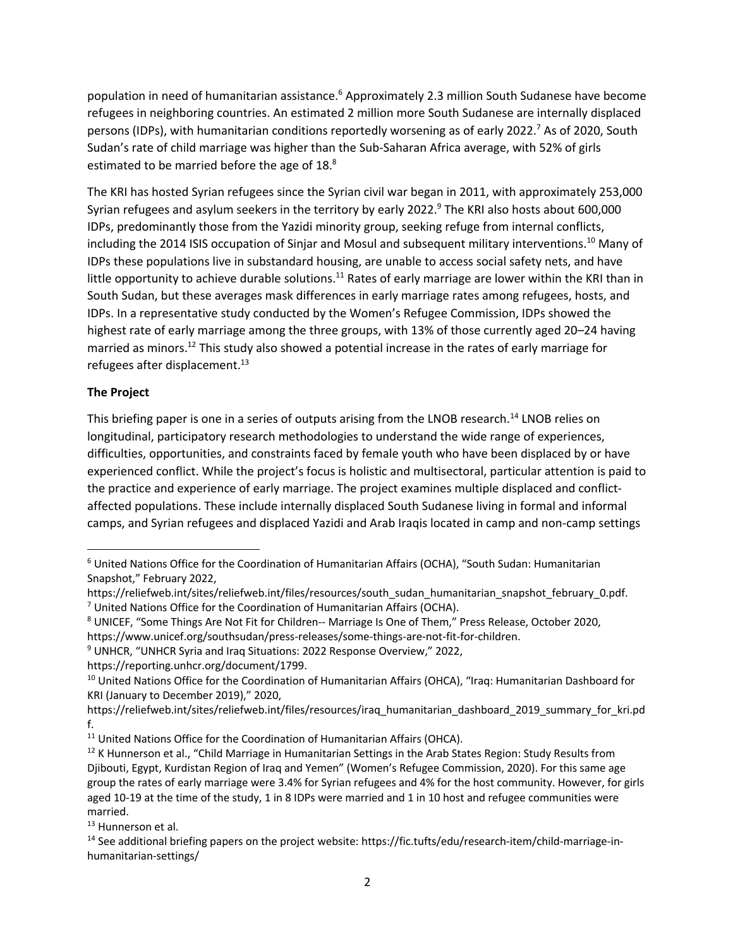population in need of humanitarian assistance.<sup>6</sup> Approximately 2.3 million South Sudanese have become refugees in neighboring countries. An estimated 2 million more South Sudanese are internally displaced persons (IDPs), with humanitarian conditions reportedly worsening as of early 2022.<sup>7</sup> As of 2020, South Sudan's rate of child marriage was higher than the Sub-Saharan Africa average, with 52% of girls estimated to be married before the age of 18.<sup>8</sup>

The KRI has hosted Syrian refugees since the Syrian civil war began in 2011, with approximately 253,000 Syrian refugees and asylum seekers in the territory by early 2022.<sup>9</sup> The KRI also hosts about 600,000 IDPs, predominantly those from the Yazidi minority group, seeking refuge from internal conflicts, including the 2014 ISIS occupation of Sinjar and Mosul and subsequent military interventions.10 Many of IDPs these populations live in substandard housing, are unable to access social safety nets, and have little opportunity to achieve durable solutions.<sup>11</sup> Rates of early marriage are lower within the KRI than in South Sudan, but these averages mask differences in early marriage rates among refugees, hosts, and IDPs. In a representative study conducted by the Women's Refugee Commission, IDPs showed the highest rate of early marriage among the three groups, with 13% of those currently aged 20–24 having married as minors.<sup>12</sup> This study also showed a potential increase in the rates of early marriage for refugees after displacement.<sup>13</sup>

### **The Project**

This briefing paper is one in a series of outputs arising from the LNOB research.<sup>14</sup> LNOB relies on longitudinal, participatory research methodologies to understand the wide range of experiences, difficulties, opportunities, and constraints faced by female youth who have been displaced by or have experienced conflict. While the project's focus is holistic and multisectoral, particular attention is paid to the practice and experience of early marriage. The project examines multiple displaced and conflictaffected populations. These include internally displaced South Sudanese living in formal and informal camps, and Syrian refugees and displaced Yazidi and Arab Iraqis located in camp and non-camp settings

https://reporting.unhcr.org/document/1799.

<sup>6</sup> United Nations Office for the Coordination of Humanitarian Affairs (OCHA), "South Sudan: Humanitarian Snapshot," February 2022,

https://reliefweb.int/sites/reliefweb.int/files/resources/south\_sudan\_humanitarian\_snapshot\_february\_0.pdf.  $7$  United Nations Office for the Coordination of Humanitarian Affairs (OCHA).

<sup>8</sup> UNICEF, "Some Things Are Not Fit for Children-- Marriage Is One of Them," Press Release, October 2020, https://www.unicef.org/southsudan/press-releases/some-things-are-not-fit-for-children.

<sup>&</sup>lt;sup>9</sup> UNHCR, "UNHCR Syria and Iraq Situations: 2022 Response Overview," 2022,

<sup>&</sup>lt;sup>10</sup> United Nations Office for the Coordination of Humanitarian Affairs (OHCA), "Iraq: Humanitarian Dashboard for KRI (January to December 2019)," 2020,

https://reliefweb.int/sites/reliefweb.int/files/resources/iraq\_humanitarian\_dashboard\_2019\_summary\_for\_kri.pd f.

<sup>&</sup>lt;sup>11</sup> United Nations Office for the Coordination of Humanitarian Affairs (OHCA).

<sup>&</sup>lt;sup>12</sup> K Hunnerson et al., "Child Marriage in Humanitarian Settings in the Arab States Region: Study Results from Djibouti, Egypt, Kurdistan Region of Iraq and Yemen" (Women's Refugee Commission, 2020). For this same age group the rates of early marriage were 3.4% for Syrian refugees and 4% for the host community. However, for girls aged 10-19 at the time of the study, 1 in 8 IDPs were married and 1 in 10 host and refugee communities were married.

<sup>&</sup>lt;sup>13</sup> Hunnerson et al.

<sup>&</sup>lt;sup>14</sup> See additional briefing papers on the project website: https://fic.tufts/edu/research-item/child-marriage-inhumanitarian-settings/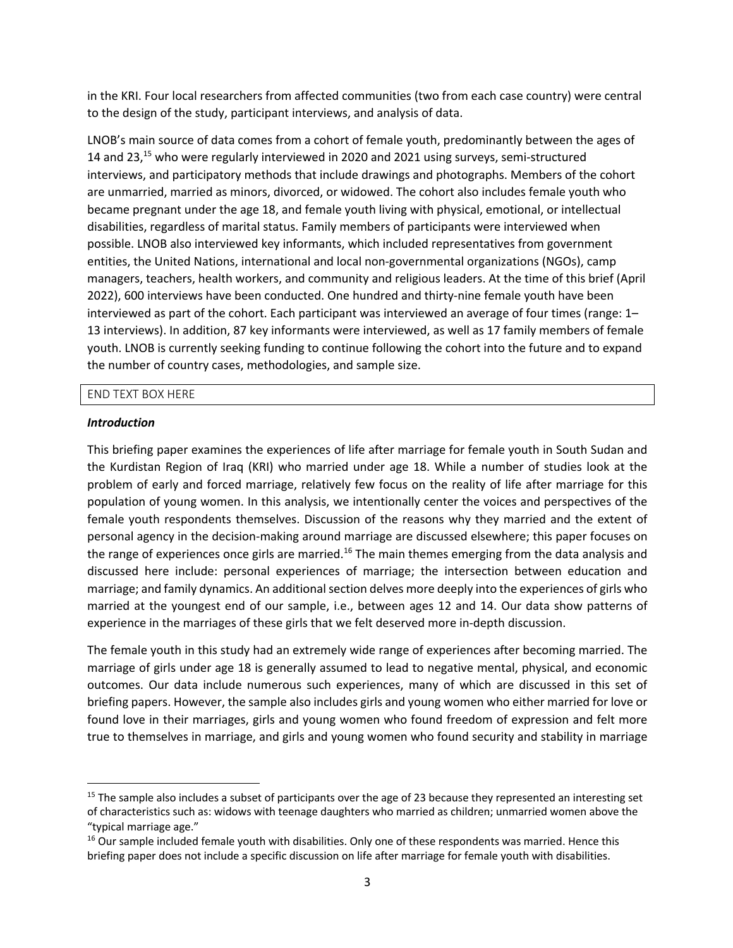in the KRI. Four local researchers from affected communities (two from each case country) were central to the design of the study, participant interviews, and analysis of data.

LNOB's main source of data comes from a cohort of female youth, predominantly between the ages of 14 and 23,<sup>15</sup> who were regularly interviewed in 2020 and 2021 using surveys, semi-structured interviews, and participatory methods that include drawings and photographs. Members of the cohort are unmarried, married as minors, divorced, or widowed. The cohort also includes female youth who became pregnant under the age 18, and female youth living with physical, emotional, or intellectual disabilities, regardless of marital status. Family members of participants were interviewed when possible. LNOB also interviewed key informants, which included representatives from government entities, the United Nations, international and local non-governmental organizations (NGOs), camp managers, teachers, health workers, and community and religious leaders. At the time of this brief (April 2022), 600 interviews have been conducted. One hundred and thirty-nine female youth have been interviewed as part of the cohort. Each participant was interviewed an average of four times (range: 1– 13 interviews). In addition, 87 key informants were interviewed, as well as 17 family members of female youth. LNOB is currently seeking funding to continue following the cohort into the future and to expand the number of country cases, methodologies, and sample size.

#### END TEXT BOX HERE

#### *Introduction*

This briefing paper examines the experiences of life after marriage for female youth in South Sudan and the Kurdistan Region of Iraq (KRI) who married under age 18. While a number of studies look at the problem of early and forced marriage, relatively few focus on the reality of life after marriage for this population of young women. In this analysis, we intentionally center the voices and perspectives of the female youth respondents themselves. Discussion of the reasons why they married and the extent of personal agency in the decision-making around marriage are discussed elsewhere; this paper focuses on the range of experiences once girls are married.<sup>16</sup> The main themes emerging from the data analysis and discussed here include: personal experiences of marriage; the intersection between education and marriage; and family dynamics. An additional section delves more deeply into the experiences of girls who married at the youngest end of our sample, i.e., between ages 12 and 14. Our data show patterns of experience in the marriages of these girls that we felt deserved more in-depth discussion.

The female youth in this study had an extremely wide range of experiences after becoming married. The marriage of girls under age 18 is generally assumed to lead to negative mental, physical, and economic outcomes. Our data include numerous such experiences, many of which are discussed in this set of briefing papers. However, the sample also includes girls and young women who either married for love or found love in their marriages, girls and young women who found freedom of expression and felt more true to themselves in marriage, and girls and young women who found security and stability in marriage

<sup>&</sup>lt;sup>15</sup> The sample also includes a subset of participants over the age of 23 because they represented an interesting set of characteristics such as: widows with teenage daughters who married as children; unmarried women above the "typical marriage age."

<sup>&</sup>lt;sup>16</sup> Our sample included female youth with disabilities. Only one of these respondents was married. Hence this briefing paper does not include a specific discussion on life after marriage for female youth with disabilities.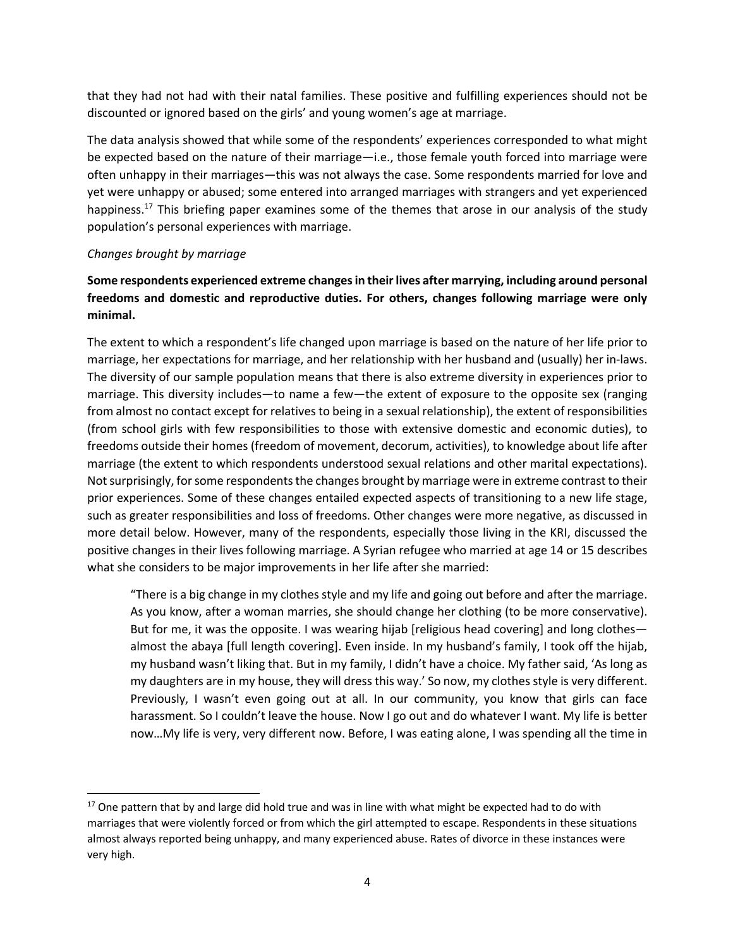that they had not had with their natal families. These positive and fulfilling experiences should not be discounted or ignored based on the girls' and young women's age at marriage.

The data analysis showed that while some of the respondents' experiences corresponded to what might be expected based on the nature of their marriage—i.e., those female youth forced into marriage were often unhappy in their marriages—this was not always the case. Some respondents married for love and yet were unhappy or abused; some entered into arranged marriages with strangers and yet experienced happiness.<sup>17</sup> This briefing paper examines some of the themes that arose in our analysis of the study population's personal experiences with marriage.

#### *Changes brought by marriage*

# **Some respondents experienced extreme changes in their lives after marrying, including around personal freedoms and domestic and reproductive duties. For others, changes following marriage were only minimal.**

The extent to which a respondent's life changed upon marriage is based on the nature of her life prior to marriage, her expectations for marriage, and her relationship with her husband and (usually) her in-laws. The diversity of our sample population means that there is also extreme diversity in experiences prior to marriage. This diversity includes—to name a few—the extent of exposure to the opposite sex (ranging from almost no contact except for relatives to being in a sexual relationship), the extent of responsibilities (from school girls with few responsibilities to those with extensive domestic and economic duties), to freedoms outside their homes (freedom of movement, decorum, activities), to knowledge about life after marriage (the extent to which respondents understood sexual relations and other marital expectations). Not surprisingly, for some respondents the changes brought by marriage were in extreme contrast to their prior experiences. Some of these changes entailed expected aspects of transitioning to a new life stage, such as greater responsibilities and loss of freedoms. Other changes were more negative, as discussed in more detail below. However, many of the respondents, especially those living in the KRI, discussed the positive changes in their lives following marriage. A Syrian refugee who married at age 14 or 15 describes what she considers to be major improvements in her life after she married:

"There is a big change in my clothes style and my life and going out before and after the marriage. As you know, after a woman marries, she should change her clothing (to be more conservative). But for me, it was the opposite. I was wearing hijab [religious head covering] and long clothes almost the abaya [full length covering]. Even inside. In my husband's family, I took off the hijab, my husband wasn't liking that. But in my family, I didn't have a choice. My father said, 'As long as my daughters are in my house, they will dress this way.' So now, my clothes style is very different. Previously, I wasn't even going out at all. In our community, you know that girls can face harassment. So I couldn't leave the house. Now I go out and do whatever I want. My life is better now…My life is very, very different now. Before, I was eating alone, I was spending all the time in

 $17$  One pattern that by and large did hold true and was in line with what might be expected had to do with marriages that were violently forced or from which the girl attempted to escape. Respondents in these situations almost always reported being unhappy, and many experienced abuse. Rates of divorce in these instances were very high.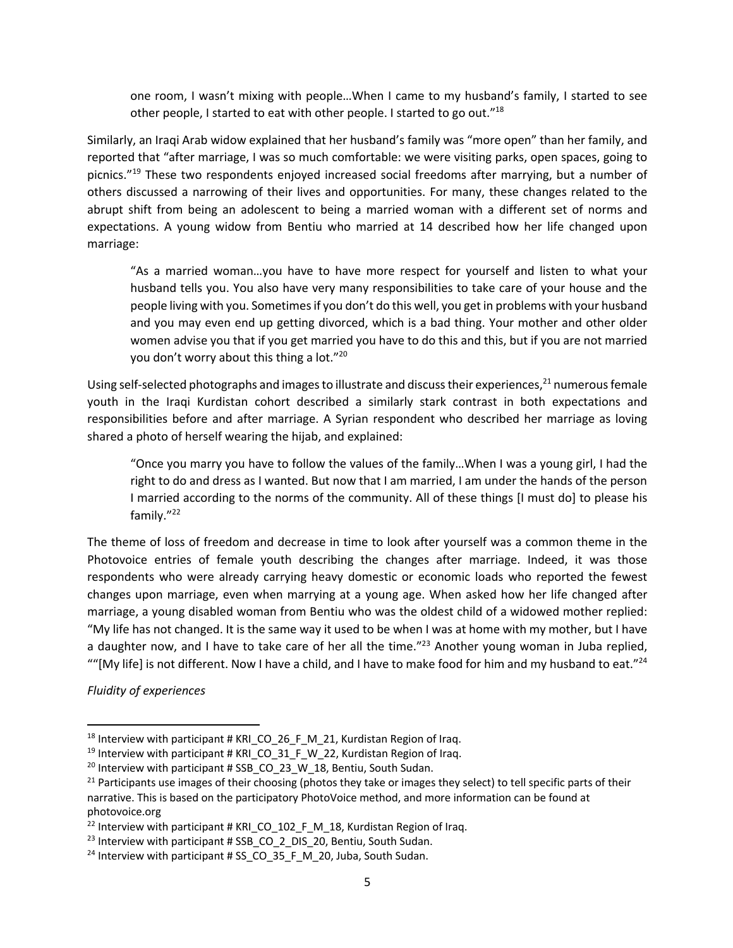one room, I wasn't mixing with people…When I came to my husband's family, I started to see other people, I started to eat with other people. I started to go out."18

Similarly, an Iraqi Arab widow explained that her husband's family was "more open" than her family, and reported that "after marriage, I was so much comfortable: we were visiting parks, open spaces, going to picnics."19 These two respondents enjoyed increased social freedoms after marrying, but a number of others discussed a narrowing of their lives and opportunities. For many, these changes related to the abrupt shift from being an adolescent to being a married woman with a different set of norms and expectations. A young widow from Bentiu who married at 14 described how her life changed upon marriage:

"As a married woman…you have to have more respect for yourself and listen to what your husband tells you. You also have very many responsibilities to take care of your house and the people living with you. Sometimes if you don't do this well, you get in problems with your husband and you may even end up getting divorced, which is a bad thing. Your mother and other older women advise you that if you get married you have to do this and this, but if you are not married you don't worry about this thing a lot."20

Using self-selected photographs and images to illustrate and discuss their experiences, $^{21}$  numerous female youth in the Iraqi Kurdistan cohort described a similarly stark contrast in both expectations and responsibilities before and after marriage. A Syrian respondent who described her marriage as loving shared a photo of herself wearing the hijab, and explained:

"Once you marry you have to follow the values of the family…When I was a young girl, I had the right to do and dress as I wanted. But now that I am married, I am under the hands of the person I married according to the norms of the community. All of these things [I must do] to please his family."22

The theme of loss of freedom and decrease in time to look after yourself was a common theme in the Photovoice entries of female youth describing the changes after marriage. Indeed, it was those respondents who were already carrying heavy domestic or economic loads who reported the fewest changes upon marriage, even when marrying at a young age. When asked how her life changed after marriage, a young disabled woman from Bentiu who was the oldest child of a widowed mother replied: "My life has not changed. It is the same way it used to be when I was at home with my mother, but I have a daughter now, and I have to take care of her all the time."<sup>23</sup> Another young woman in Juba replied, ""[My life] is not different. Now I have a child, and I have to make food for him and my husband to eat."<sup>24</sup>

*Fluidity of experiences* 

<sup>&</sup>lt;sup>18</sup> Interview with participant # KRI\_CO\_26\_F\_M\_21, Kurdistan Region of Iraq.<br><sup>19</sup> Interview with participant # KRI\_CO\_31\_F\_W\_22, Kurdistan Region of Iraq.

<sup>&</sup>lt;sup>20</sup> Interview with participant # SSB\_CO\_23\_W\_18, Bentiu, South Sudan.

 $21$  Participants use images of their choosing (photos they take or images they select) to tell specific parts of their narrative. This is based on the participatory PhotoVoice method, and more information can be found at photovoice.org

<sup>&</sup>lt;sup>22</sup> Interview with participant # KRI CO 102 F M 18, Kurdistan Region of Iraq.

<sup>&</sup>lt;sup>23</sup> Interview with participant # SSB\_CO\_2\_DIS\_20, Bentiu, South Sudan.<br><sup>24</sup> Interview with participant # SS\_CO\_35\_F\_M\_20, Juba, South Sudan.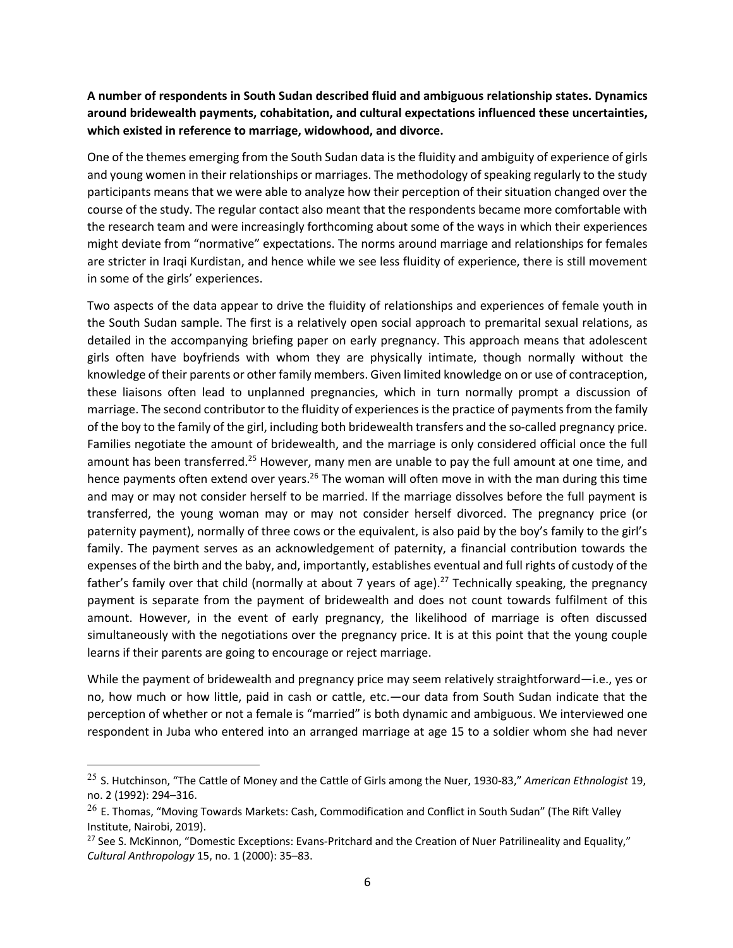## **A number of respondents in South Sudan described fluid and ambiguous relationship states. Dynamics around bridewealth payments, cohabitation, and cultural expectations influenced these uncertainties, which existed in reference to marriage, widowhood, and divorce.**

One of the themes emerging from the South Sudan data is the fluidity and ambiguity of experience of girls and young women in their relationships or marriages. The methodology of speaking regularly to the study participants means that we were able to analyze how their perception of their situation changed over the course of the study. The regular contact also meant that the respondents became more comfortable with the research team and were increasingly forthcoming about some of the ways in which their experiences might deviate from "normative" expectations. The norms around marriage and relationships for females are stricter in Iraqi Kurdistan, and hence while we see less fluidity of experience, there is still movement in some of the girls' experiences.

Two aspects of the data appear to drive the fluidity of relationships and experiences of female youth in the South Sudan sample. The first is a relatively open social approach to premarital sexual relations, as detailed in the accompanying briefing paper on early pregnancy. This approach means that adolescent girls often have boyfriends with whom they are physically intimate, though normally without the knowledge of their parents or other family members. Given limited knowledge on or use of contraception, these liaisons often lead to unplanned pregnancies, which in turn normally prompt a discussion of marriage. The second contributor to the fluidity of experiences is the practice of payments from the family of the boy to the family of the girl, including both bridewealth transfers and the so-called pregnancy price. Families negotiate the amount of bridewealth, and the marriage is only considered official once the full amount has been transferred.<sup>25</sup> However, many men are unable to pay the full amount at one time, and hence payments often extend over years.<sup>26</sup> The woman will often move in with the man during this time and may or may not consider herself to be married. If the marriage dissolves before the full payment is transferred, the young woman may or may not consider herself divorced. The pregnancy price (or paternity payment), normally of three cows or the equivalent, is also paid by the boy's family to the girl's family. The payment serves as an acknowledgement of paternity, a financial contribution towards the expenses of the birth and the baby, and, importantly, establishes eventual and full rights of custody of the father's family over that child (normally at about 7 years of age).<sup>27</sup> Technically speaking, the pregnancy payment is separate from the payment of bridewealth and does not count towards fulfilment of this amount. However, in the event of early pregnancy, the likelihood of marriage is often discussed simultaneously with the negotiations over the pregnancy price. It is at this point that the young couple learns if their parents are going to encourage or reject marriage.

While the payment of bridewealth and pregnancy price may seem relatively straightforward—i.e., yes or no, how much or how little, paid in cash or cattle, etc.—our data from South Sudan indicate that the perception of whether or not a female is "married" is both dynamic and ambiguous. We interviewed one respondent in Juba who entered into an arranged marriage at age 15 to a soldier whom she had never

<sup>25</sup> S. Hutchinson, "The Cattle of Money and the Cattle of Girls among the Nuer, 1930-83," *American Ethnologist* 19, no. 2 (1992): 294–316.

 $^{26}$  E. Thomas, "Moving Towards Markets: Cash, Commodification and Conflict in South Sudan" (The Rift Valley Institute, Nairobi, 2019).

 $27$  See S. McKinnon, "Domestic Exceptions: Evans-Pritchard and the Creation of Nuer Patrilineality and Equality," *Cultural Anthropology* 15, no. 1 (2000): 35–83.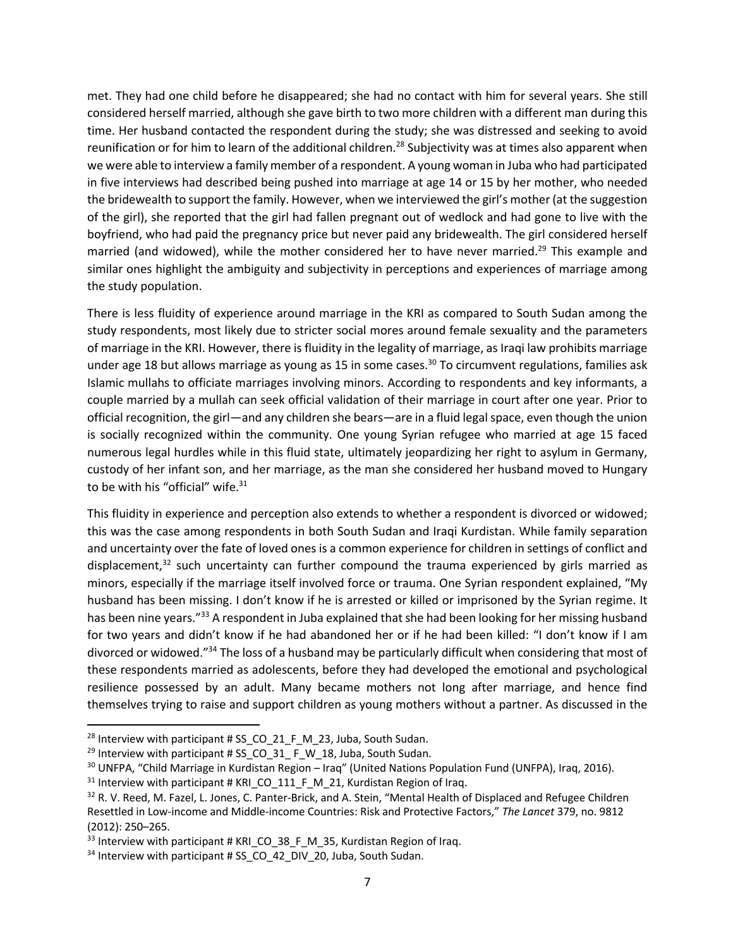met. They had one child before he disappeared; she had no contact with him for several years. She still considered herself married, although she gave birth to two more children with a different man during this time. Her husband contacted the respondent during the study; she was distressed and seeking to avoid reunification or for him to learn of the additional children.<sup>28</sup> Subjectivity was at times also apparent when we were able to interview a family member of a respondent. A young woman in Juba who had participated in five interviews had described being pushed into marriage at age 14 or 15 by her mother, who needed the bridewealth to support the family. However, when we interviewed the girl's mother (at the suggestion of the girl), she reported that the girl had fallen pregnant out of wedlock and had gone to live with the boyfriend, who had paid the pregnancy price but never paid any bridewealth. The girl considered herself married (and widowed), while the mother considered her to have never married.<sup>29</sup> This example and similar ones highlight the ambiguity and subjectivity in perceptions and experiences of marriage among the study population.

There is less fluidity of experience around marriage in the KRI as compared to South Sudan among the study respondents, most likely due to stricter social mores around female sexuality and the parameters of marriage in the KRI. However, there is fluidity in the legality of marriage, as Iraqi law prohibits marriage under age 18 but allows marriage as young as 15 in some cases. <sup>30</sup> To circumvent regulations, families ask Islamic mullahs to officiate marriages involving minors. According to respondents and key informants, a couple married by a mullah can seek official validation of their marriage in court after one year. Prior to official recognition, the girl—and any children she bears—are in a fluid legal space, even though the union is socially recognized within the community. One young Syrian refugee who married at age 15 faced numerous legal hurdles while in this fluid state, ultimately jeopardizing her right to asylum in Germany, custody of her infant son, and her marriage, as the man she considered her husband moved to Hungary to be with his "official" wife.<sup>31</sup>

This fluidity in experience and perception also extends to whether a respondent is divorced or widowed; this was the case among respondents in both South Sudan and Iraqi Kurdistan. While family separation and uncertainty over the fate of loved ones is a common experience for children in settings of conflict and displacement,<sup>32</sup> such uncertainty can further compound the trauma experienced by girls married as minors, especially if the marriage itself involved force or trauma. One Syrian respondent explained, "My husband has been missing. I don't know if he is arrested or killed or imprisoned by the Syrian regime. It has been nine years."<sup>33</sup> A respondent in Juba explained that she had been looking for her missing husband for two years and didn't know if he had abandoned her or if he had been killed: "I don't know if I am divorced or widowed."34 The loss of a husband may be particularly difficult when considering that most of these respondents married as adolescents, before they had developed the emotional and psychological resilience possessed by an adult. Many became mothers not long after marriage, and hence find themselves trying to raise and support children as young mothers without a partner. As discussed in the

<sup>&</sup>lt;sup>28</sup> Interview with participant # SS\_CO\_21\_F\_M\_23, Juba, South Sudan.<br><sup>29</sup> Interview with participant # SS\_CO\_31\_ F\_W\_18, Juba, South Sudan.<br><sup>30</sup> UNFPA, "Child Marriage in Kurdistan Region – Iraq" (United Nations Populati

 $31$  Interview with participant # KRI CO 111 F M 21, Kurdistan Region of Iraq.

<sup>&</sup>lt;sup>32</sup> R. V. Reed, M. Fazel, L. Jones, C. Panter-Brick, and A. Stein, "Mental Health of Displaced and Refugee Children Resettled in Low-income and Middle-income Countries: Risk and Protective Factors," *The Lancet* 379, no. 9812 (2012): 250–265.

 $33$  Interview with participant # KRI CO 38 F M 35, Kurdistan Region of Iraq.

<sup>&</sup>lt;sup>34</sup> Interview with participant # SS\_CO\_42\_DIV\_20, Juba, South Sudan.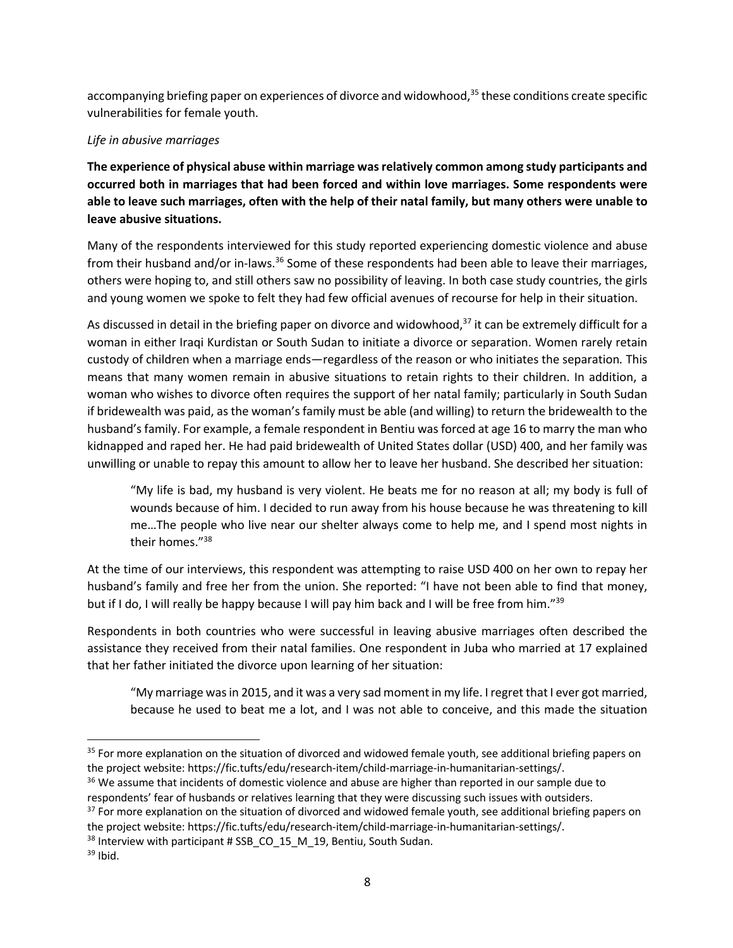accompanying briefing paper on experiences of divorce and widowhood,<sup>35</sup> these conditions create specific vulnerabilities for female youth.

### *Life in abusive marriages*

**The experience of physical abuse within marriage was relatively common among study participants and occurred both in marriages that had been forced and within love marriages. Some respondents were able to leave such marriages, often with the help of their natal family, but many others were unable to leave abusive situations.** 

Many of the respondents interviewed for this study reported experiencing domestic violence and abuse from their husband and/or in-laws.<sup>36</sup> Some of these respondents had been able to leave their marriages, others were hoping to, and still others saw no possibility of leaving. In both case study countries, the girls and young women we spoke to felt they had few official avenues of recourse for help in their situation.

As discussed in detail in the briefing paper on divorce and widowhood, $37$  it can be extremely difficult for a woman in either Iraqi Kurdistan or South Sudan to initiate a divorce or separation. Women rarely retain custody of children when a marriage ends—regardless of the reason or who initiates the separation*.* This means that many women remain in abusive situations to retain rights to their children. In addition, a woman who wishes to divorce often requires the support of her natal family; particularly in South Sudan if bridewealth was paid, as the woman's family must be able (and willing) to return the bridewealth to the husband's family. For example, a female respondent in Bentiu was forced at age 16 to marry the man who kidnapped and raped her. He had paid bridewealth of United States dollar (USD) 400, and her family was unwilling or unable to repay this amount to allow her to leave her husband. She described her situation:

"My life is bad, my husband is very violent. He beats me for no reason at all; my body is full of wounds because of him. I decided to run away from his house because he was threatening to kill me…The people who live near our shelter always come to help me, and I spend most nights in their homes."38

At the time of our interviews, this respondent was attempting to raise USD 400 on her own to repay her husband's family and free her from the union. She reported: "I have not been able to find that money, but if I do, I will really be happy because I will pay him back and I will be free from him."<sup>39</sup>

Respondents in both countries who were successful in leaving abusive marriages often described the assistance they received from their natal families. One respondent in Juba who married at 17 explained that her father initiated the divorce upon learning of her situation:

"My marriage was in 2015, and it was a very sad moment in my life. I regret that I ever got married, because he used to beat me a lot, and I was not able to conceive, and this made the situation

- <sup>37</sup> For more explanation on the situation of divorced and widowed female youth, see additional briefing papers on the project website: https://fic.tufts/edu/research-item/child-marriage-in-humanitarian-settings/.
- $38$  Interview with participant # SSB CO 15 M 19, Bentiu, South Sudan.

<sup>&</sup>lt;sup>35</sup> For more explanation on the situation of divorced and widowed female youth, see additional briefing papers on the project website: https://fic.tufts/edu/research-item/child-marriage-in-humanitarian-settings/.

<sup>&</sup>lt;sup>36</sup> We assume that incidents of domestic violence and abuse are higher than reported in our sample due to respondents' fear of husbands or relatives learning that they were discussing such issues with outsiders.

 $39$  Ibid.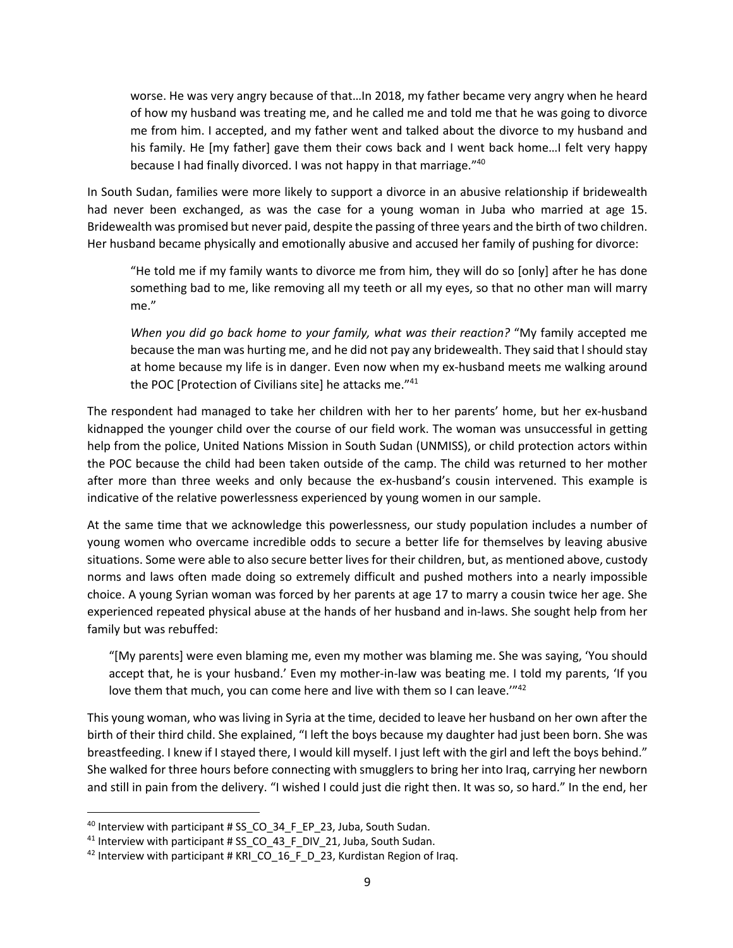worse. He was very angry because of that…In 2018, my father became very angry when he heard of how my husband was treating me, and he called me and told me that he was going to divorce me from him. I accepted, and my father went and talked about the divorce to my husband and his family. He [my father] gave them their cows back and I went back home…I felt very happy because I had finally divorced. I was not happy in that marriage."40

In South Sudan, families were more likely to support a divorce in an abusive relationship if bridewealth had never been exchanged, as was the case for a young woman in Juba who married at age 15. Bridewealth was promised but never paid, despite the passing of three years and the birth of two children. Her husband became physically and emotionally abusive and accused her family of pushing for divorce:

"He told me if my family wants to divorce me from him, they will do so [only] after he has done something bad to me, like removing all my teeth or all my eyes, so that no other man will marry me."

*When you did go back home to your family, what was their reaction?* "My family accepted me because the man was hurting me, and he did not pay any bridewealth. They said that l should stay at home because my life is in danger. Even now when my ex-husband meets me walking around the POC [Protection of Civilians site] he attacks me."<sup>41</sup>

The respondent had managed to take her children with her to her parents' home, but her ex-husband kidnapped the younger child over the course of our field work. The woman was unsuccessful in getting help from the police, United Nations Mission in South Sudan (UNMISS), or child protection actors within the POC because the child had been taken outside of the camp. The child was returned to her mother after more than three weeks and only because the ex-husband's cousin intervened. This example is indicative of the relative powerlessness experienced by young women in our sample.

At the same time that we acknowledge this powerlessness, our study population includes a number of young women who overcame incredible odds to secure a better life for themselves by leaving abusive situations. Some were able to also secure better lives for their children, but, as mentioned above, custody norms and laws often made doing so extremely difficult and pushed mothers into a nearly impossible choice. A young Syrian woman was forced by her parents at age 17 to marry a cousin twice her age. She experienced repeated physical abuse at the hands of her husband and in-laws. She sought help from her family but was rebuffed:

"[My parents] were even blaming me, even my mother was blaming me. She was saying, 'You should accept that, he is your husband.' Even my mother-in-law was beating me. I told my parents, 'If you love them that much, you can come here and live with them so I can leave."<sup>42</sup>

This young woman, who was living in Syria at the time, decided to leave her husband on her own after the birth of their third child. She explained, "I left the boys because my daughter had just been born. She was breastfeeding. I knew if I stayed there, I would kill myself. I just left with the girl and left the boys behind." She walked for three hours before connecting with smugglers to bring her into Iraq, carrying her newborn and still in pain from the delivery. "I wished I could just die right then. It was so, so hard." In the end, her

<sup>&</sup>lt;sup>40</sup> Interview with participant # SS\_CO\_34\_F\_EP\_23, Juba, South Sudan.<br><sup>41</sup> Interview with participant # SS\_CO\_43\_F\_DIV\_21, Juba, South Sudan.<br><sup>42</sup> Interview with participant # KRI\_CO\_16\_F\_D\_23, Kurdistan Region of Iraq.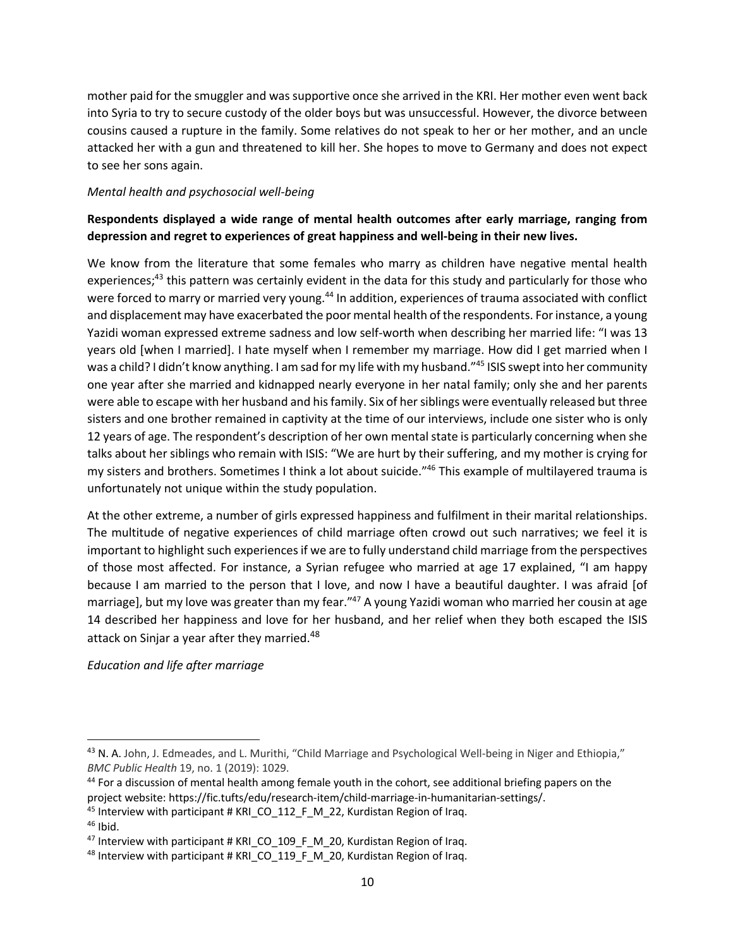mother paid for the smuggler and was supportive once she arrived in the KRI. Her mother even went back into Syria to try to secure custody of the older boys but was unsuccessful. However, the divorce between cousins caused a rupture in the family. Some relatives do not speak to her or her mother, and an uncle attacked her with a gun and threatened to kill her. She hopes to move to Germany and does not expect to see her sons again.

#### *Mental health and psychosocial well-being*

# **Respondents displayed a wide range of mental health outcomes after early marriage, ranging from depression and regret to experiences of great happiness and well-being in their new lives.**

We know from the literature that some females who marry as children have negative mental health experiences;<sup>43</sup> this pattern was certainly evident in the data for this study and particularly for those who were forced to marry or married very young.<sup>44</sup> In addition, experiences of trauma associated with conflict and displacement may have exacerbated the poor mental health of the respondents. For instance, a young Yazidi woman expressed extreme sadness and low self-worth when describing her married life: "I was 13 years old [when I married]. I hate myself when I remember my marriage. How did I get married when I was a child? I didn't know anything. I am sad for my life with my husband."45 ISIS swept into her community one year after she married and kidnapped nearly everyone in her natal family; only she and her parents were able to escape with her husband and his family. Six of her siblings were eventually released but three sisters and one brother remained in captivity at the time of our interviews, include one sister who is only 12 years of age. The respondent's description of her own mental state is particularly concerning when she talks about her siblings who remain with ISIS: "We are hurt by their suffering, and my mother is crying for my sisters and brothers. Sometimes I think a lot about suicide."46 This example of multilayered trauma is unfortunately not unique within the study population.

At the other extreme, a number of girls expressed happiness and fulfilment in their marital relationships. The multitude of negative experiences of child marriage often crowd out such narratives; we feel it is important to highlight such experiences if we are to fully understand child marriage from the perspectives of those most affected. For instance, a Syrian refugee who married at age 17 explained, "I am happy because I am married to the person that I love, and now I have a beautiful daughter. I was afraid [of marriage], but my love was greater than my fear."<sup>47</sup> A young Yazidi woman who married her cousin at age 14 described her happiness and love for her husband, and her relief when they both escaped the ISIS attack on Sinjar a year after they married.<sup>48</sup>

## *Education and life after marriage*

<sup>45</sup> Interview with participant # KRI\_CO\_112\_F\_M\_22, Kurdistan Region of Iraq.

<sup>&</sup>lt;sup>43</sup> N. A. John, J. Edmeades, and L. Murithi, "Child Marriage and Psychological Well-being in Niger and Ethiopia," *BMC Public Health* 19, no. 1 (2019): 1029.

<sup>&</sup>lt;sup>44</sup> For a discussion of mental health among female youth in the cohort, see additional briefing papers on the project website: https://fic.tufts/edu/research-item/child-marriage-in-humanitarian-settings/.

 $46$  Ibid.

 $47$  Interview with participant # KRI CO 109 F M 20, Kurdistan Region of Iraq.

<sup>&</sup>lt;sup>48</sup> Interview with participant # KRI\_CO\_119\_F\_M\_20, Kurdistan Region of Iraq.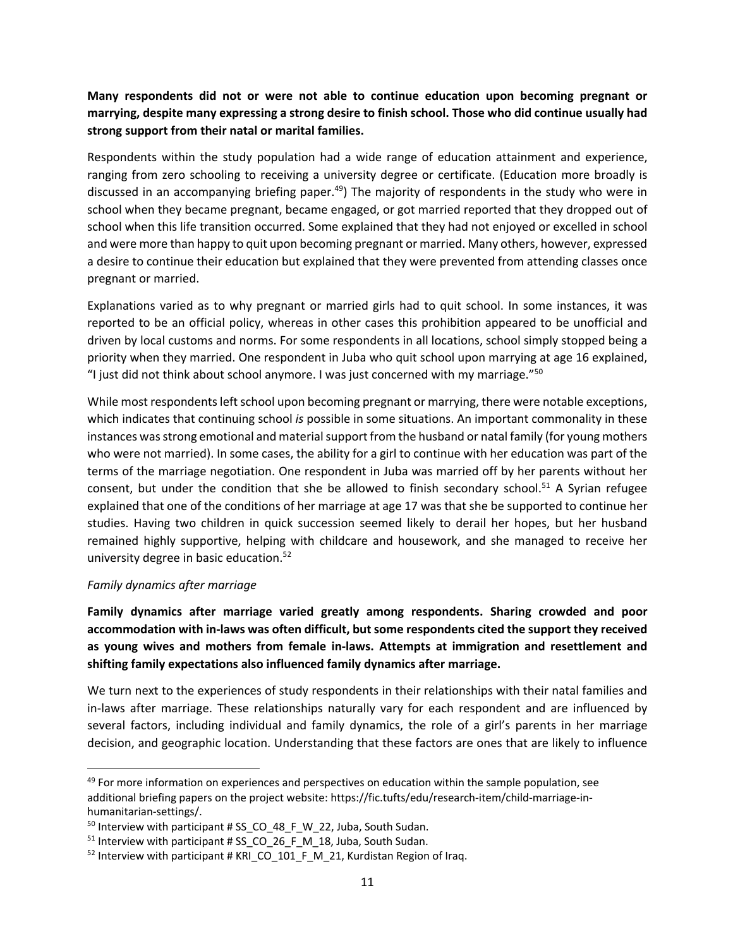# **Many respondents did not or were not able to continue education upon becoming pregnant or marrying, despite many expressing a strong desire to finish school. Those who did continue usually had strong support from their natal or marital families.**

Respondents within the study population had a wide range of education attainment and experience, ranging from zero schooling to receiving a university degree or certificate. (Education more broadly is discussed in an accompanying briefing paper.<sup>49</sup>) The majority of respondents in the study who were in school when they became pregnant, became engaged, or got married reported that they dropped out of school when this life transition occurred. Some explained that they had not enjoyed or excelled in school and were more than happy to quit upon becoming pregnant or married. Many others, however, expressed a desire to continue their education but explained that they were prevented from attending classes once pregnant or married.

Explanations varied as to why pregnant or married girls had to quit school. In some instances, it was reported to be an official policy, whereas in other cases this prohibition appeared to be unofficial and driven by local customs and norms. For some respondents in all locations, school simply stopped being a priority when they married. One respondent in Juba who quit school upon marrying at age 16 explained, "I just did not think about school anymore. I was just concerned with my marriage." $50$ 

While most respondents left school upon becoming pregnant or marrying, there were notable exceptions, which indicates that continuing school *is* possible in some situations. An important commonality in these instances was strong emotional and material support from the husband or natal family (for young mothers who were not married). In some cases, the ability for a girl to continue with her education was part of the terms of the marriage negotiation. One respondent in Juba was married off by her parents without her consent, but under the condition that she be allowed to finish secondary school.<sup>51</sup> A Syrian refugee explained that one of the conditions of her marriage at age 17 was that she be supported to continue her studies. Having two children in quick succession seemed likely to derail her hopes, but her husband remained highly supportive, helping with childcare and housework, and she managed to receive her university degree in basic education.52

#### *Family dynamics after marriage*

**Family dynamics after marriage varied greatly among respondents. Sharing crowded and poor accommodation with in-laws was often difficult, but some respondents cited the support they received as young wives and mothers from female in-laws. Attempts at immigration and resettlement and shifting family expectations also influenced family dynamics after marriage.** 

We turn next to the experiences of study respondents in their relationships with their natal families and in-laws after marriage. These relationships naturally vary for each respondent and are influenced by several factors, including individual and family dynamics, the role of a girl's parents in her marriage decision, and geographic location. Understanding that these factors are ones that are likely to influence

 $49$  For more information on experiences and perspectives on education within the sample population, see additional briefing papers on the project website: https://fic.tufts/edu/research-item/child-marriage-inhumanitarian-settings/.

<sup>&</sup>lt;sup>50</sup> Interview with participant # SS\_CO\_48\_F\_W\_22, Juba, South Sudan.<br><sup>51</sup> Interview with participant # SS\_CO\_26\_F\_M\_18, Juba, South Sudan.<br><sup>52</sup> Interview with participant # KRI\_CO\_101\_F\_M\_21, Kurdistan Region of Iraq.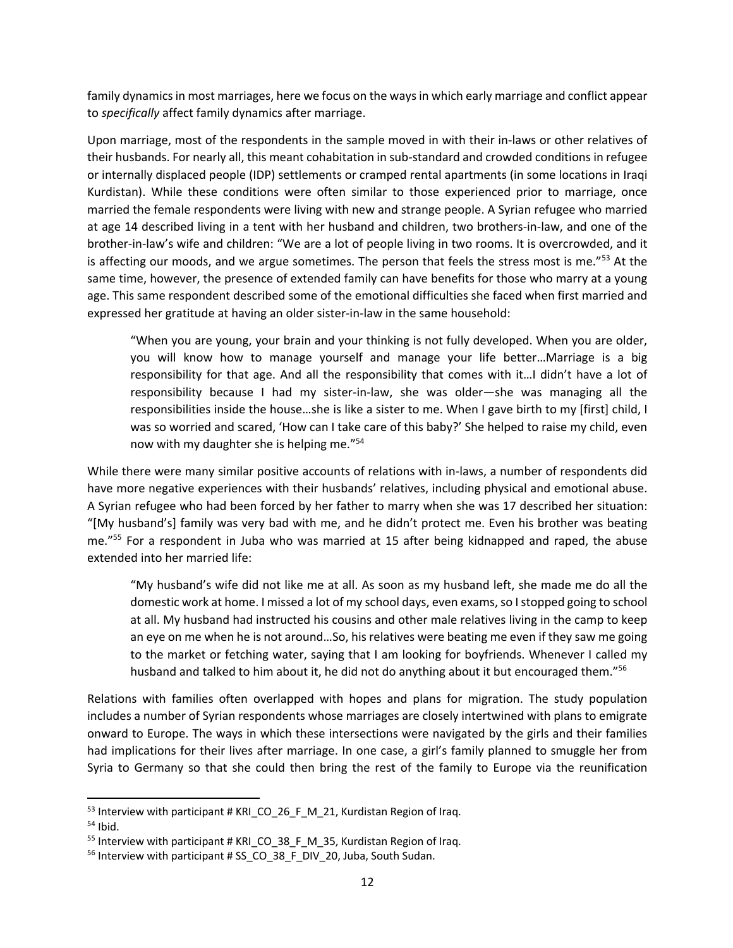family dynamics in most marriages, here we focus on the ways in which early marriage and conflict appear to *specifically* affect family dynamics after marriage.

Upon marriage, most of the respondents in the sample moved in with their in-laws or other relatives of their husbands. For nearly all, this meant cohabitation in sub-standard and crowded conditions in refugee or internally displaced people (IDP) settlements or cramped rental apartments (in some locations in Iraqi Kurdistan). While these conditions were often similar to those experienced prior to marriage, once married the female respondents were living with new and strange people. A Syrian refugee who married at age 14 described living in a tent with her husband and children, two brothers-in-law, and one of the brother-in-law's wife and children: "We are a lot of people living in two rooms. It is overcrowded, and it is affecting our moods, and we argue sometimes. The person that feels the stress most is me."<sup>53</sup> At the same time, however, the presence of extended family can have benefits for those who marry at a young age. This same respondent described some of the emotional difficulties she faced when first married and expressed her gratitude at having an older sister-in-law in the same household:

"When you are young, your brain and your thinking is not fully developed. When you are older, you will know how to manage yourself and manage your life better…Marriage is a big responsibility for that age. And all the responsibility that comes with it…I didn't have a lot of responsibility because I had my sister-in-law, she was older—she was managing all the responsibilities inside the house…she is like a sister to me. When I gave birth to my [first] child, I was so worried and scared, 'How can I take care of this baby?' She helped to raise my child, even now with my daughter she is helping me."54

While there were many similar positive accounts of relations with in-laws, a number of respondents did have more negative experiences with their husbands' relatives, including physical and emotional abuse. A Syrian refugee who had been forced by her father to marry when she was 17 described her situation: "[My husband's] family was very bad with me, and he didn't protect me. Even his brother was beating me."55 For a respondent in Juba who was married at 15 after being kidnapped and raped, the abuse extended into her married life:

"My husband's wife did not like me at all. As soon as my husband left, she made me do all the domestic work at home. I missed a lot of my school days, even exams, so I stopped going to school at all. My husband had instructed his cousins and other male relatives living in the camp to keep an eye on me when he is not around…So, his relatives were beating me even if they saw me going to the market or fetching water, saying that I am looking for boyfriends. Whenever I called my husband and talked to him about it, he did not do anything about it but encouraged them."<sup>56</sup>

Relations with families often overlapped with hopes and plans for migration. The study population includes a number of Syrian respondents whose marriages are closely intertwined with plans to emigrate onward to Europe. The ways in which these intersections were navigated by the girls and their families had implications for their lives after marriage. In one case, a girl's family planned to smuggle her from Syria to Germany so that she could then bring the rest of the family to Europe via the reunification

 $53$  Interview with participant # KRI CO 26 F M 21, Kurdistan Region of Iraq.

<sup>&</sup>lt;sup>54</sup> Ibid.<br><sup>55</sup> Interview with participant # KRI\_CO\_38\_F\_M\_35, Kurdistan Region of Iraq.

<sup>&</sup>lt;sup>56</sup> Interview with participant # SS\_CO\_38\_F\_DIV\_20, Juba, South Sudan.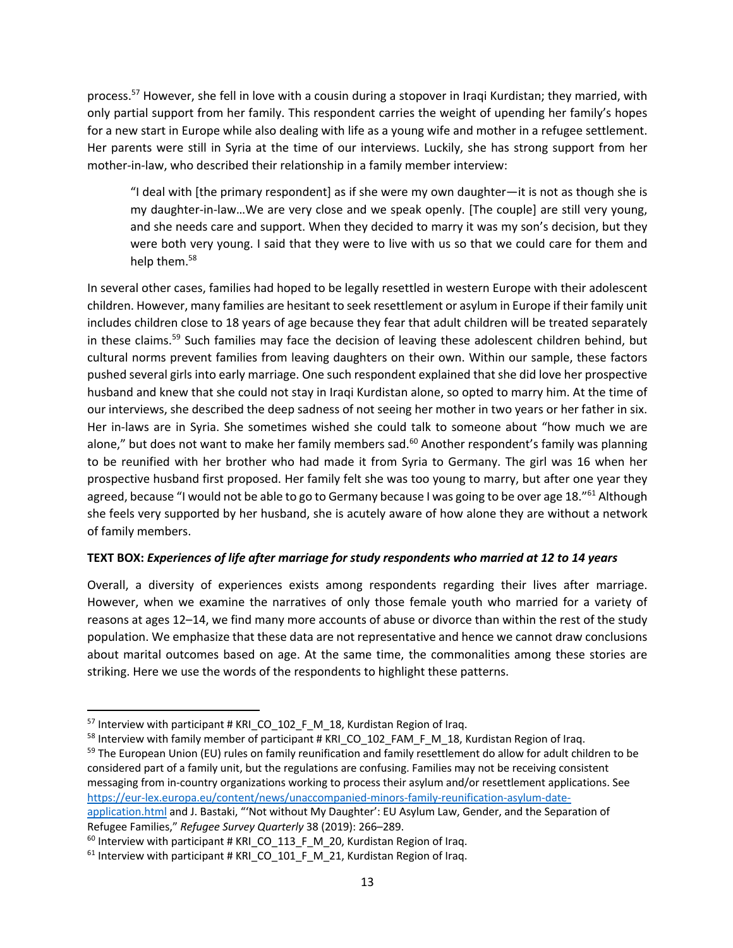process.<sup>57</sup> However, she fell in love with a cousin during a stopover in Iraqi Kurdistan; they married, with only partial support from her family. This respondent carries the weight of upending her family's hopes for a new start in Europe while also dealing with life as a young wife and mother in a refugee settlement. Her parents were still in Syria at the time of our interviews. Luckily, she has strong support from her mother-in-law, who described their relationship in a family member interview:

"I deal with [the primary respondent] as if she were my own daughter—it is not as though she is my daughter-in-law…We are very close and we speak openly. [The couple] are still very young, and she needs care and support. When they decided to marry it was my son's decision, but they were both very young. I said that they were to live with us so that we could care for them and help them.<sup>58</sup>

In several other cases, families had hoped to be legally resettled in western Europe with their adolescent children. However, many families are hesitant to seek resettlement or asylum in Europe if their family unit includes children close to 18 years of age because they fear that adult children will be treated separately in these claims.<sup>59</sup> Such families may face the decision of leaving these adolescent children behind, but cultural norms prevent families from leaving daughters on their own. Within our sample, these factors pushed several girls into early marriage. One such respondent explained that she did love her prospective husband and knew that she could not stay in Iraqi Kurdistan alone, so opted to marry him. At the time of our interviews, she described the deep sadness of not seeing her mother in two years or her father in six. Her in-laws are in Syria. She sometimes wished she could talk to someone about "how much we are alone," but does not want to make her family members sad.<sup>60</sup> Another respondent's family was planning to be reunified with her brother who had made it from Syria to Germany. The girl was 16 when her prospective husband first proposed. Her family felt she was too young to marry, but after one year they agreed, because "I would not be able to go to Germany because I was going to be over age 18."<sup>61</sup> Although she feels very supported by her husband, she is acutely aware of how alone they are without a network of family members.

## **TEXT BOX:** *Experiences of life after marriage for study respondents who married at 12 to 14 years*

Overall, a diversity of experiences exists among respondents regarding their lives after marriage. However, when we examine the narratives of only those female youth who married for a variety of reasons at ages 12–14, we find many more accounts of abuse or divorce than within the rest of the study population. We emphasize that these data are not representative and hence we cannot draw conclusions about marital outcomes based on age. At the same time, the commonalities among these stories are striking. Here we use the words of the respondents to highlight these patterns.

<sup>&</sup>lt;sup>57</sup> Interview with participant # KRI\_CO\_102\_F\_M\_18, Kurdistan Region of Iraq.

 $<sup>58</sup>$  Interview with family member of participant # KRI CO 102 FAM F M 18, Kurdistan Region of Iraq.</sup>

<sup>&</sup>lt;sup>59</sup> The European Union (EU) rules on family reunification and family resettlement do allow for adult children to be considered part of a family unit, but the regulations are confusing. Families may not be receiving consistent messaging from in-country organizations working to process their asylum and/or resettlement applications. See https://eur-lex.europa.eu/content/news/unaccompanied-minors-family-reunification-asylum-date-

application.html and J. Bastaki, "'Not without My Daughter': EU Asylum Law, Gender, and the Separation of Refugee Families," *Refugee Survey Quarterly* 38 (2019): 266–289.<br><sup>60</sup> Interview with participant # KRI\_CO\_113\_F\_M\_20, Kurdistan Region of Iraq.

 $61$  Interview with participant # KRI CO 101 F M 21, Kurdistan Region of Iraq.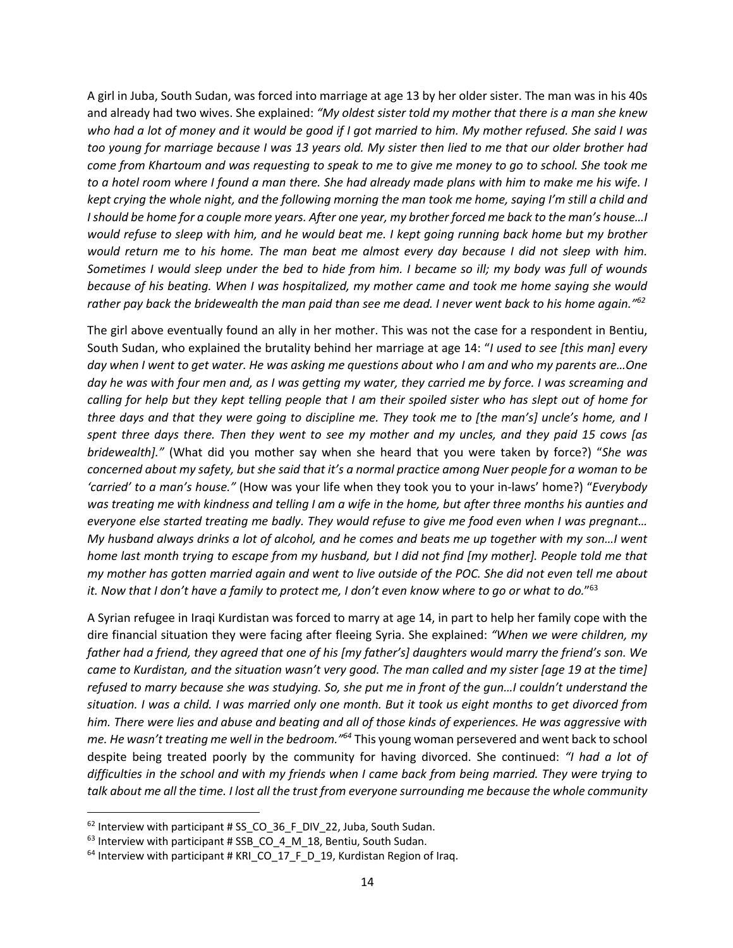A girl in Juba, South Sudan, was forced into marriage at age 13 by her older sister. The man was in his 40s and already had two wives. She explained: *"My oldest sister told my mother that there is a man she knew who had a lot of money and it would be good if I got married to him. My mother refused. She said I was too young for marriage because I was 13 years old. My sister then lied to me that our older brother had come from Khartoum and was requesting to speak to me to give me money to go to school. She took me to a hotel room where I found a man there. She had already made plans with him to make me his wife. I kept crying the whole night, and the following morning the man took me home, saying I'm still a child and I should be home for a couple more years. After one year, my brother forced me back to the man's house…I would refuse to sleep with him, and he would beat me. I kept going running back home but my brother would return me to his home. The man beat me almost every day because I did not sleep with him. Sometimes I would sleep under the bed to hide from him. I became so ill; my body was full of wounds because of his beating. When I was hospitalized, my mother came and took me home saying she would rather pay back the bridewealth the man paid than see me dead. I never went back to his home again."62*

The girl above eventually found an ally in her mother. This was not the case for a respondent in Bentiu, South Sudan, who explained the brutality behind her marriage at age 14: "*I used to see [this man] every day when I went to get water. He was asking me questions about who I am and who my parents are…One day he was with four men and, as I was getting my water, they carried me by force. I was screaming and calling for help but they kept telling people that I am their spoiled sister who has slept out of home for three days and that they were going to discipline me. They took me to [the man's] uncle's home, and I spent three days there. Then they went to see my mother and my uncles, and they paid 15 cows [as bridewealth]."* (What did you mother say when she heard that you were taken by force?) "*She was concerned about my safety, but she said that it's a normal practice among Nuer people for a woman to be 'carried' to a man's house."* (How was your life when they took you to your in-laws' home?) "*Everybody was treating me with kindness and telling I am a wife in the home, but after three months his aunties and everyone else started treating me badly. They would refuse to give me food even when I was pregnant… My husband always drinks a lot of alcohol, and he comes and beats me up together with my son…I went home last month trying to escape from my husband, but I did not find [my mother]. People told me that my mother has gotten married again and went to live outside of the POC. She did not even tell me about it. Now that I don't have a family to protect me, I don't even know where to go or what to do.*"63

A Syrian refugee in Iraqi Kurdistan was forced to marry at age 14, in part to help her family cope with the dire financial situation they were facing after fleeing Syria. She explained: *"When we were children, my father had a friend, they agreed that one of his [my father's] daughters would marry the friend's son. We came to Kurdistan, and the situation wasn't very good. The man called and my sister [age 19 at the time] refused to marry because she was studying. So, she put me in front of the gun…I couldn't understand the situation. I was a child. I was married only one month. But it took us eight months to get divorced from him. There were lies and abuse and beating and all of those kinds of experiences. He was aggressive with me. He wasn't treating me well in the bedroom."64* This young woman persevered and went back to school despite being treated poorly by the community for having divorced. She continued: *"I had a lot of difficulties in the school and with my friends when I came back from being married. They were trying to talk about me all the time. I lost all the trust from everyone surrounding me because the whole community* 

<sup>&</sup>lt;sup>62</sup> Interview with participant # SS\_CO\_36\_F\_DIV\_22, Juba, South Sudan.<br><sup>63</sup> Interview with participant # SSB\_CO\_4\_M\_18, Bentiu, South Sudan.<br><sup>64</sup> Interview with participant # KRI\_CO\_17\_F\_D\_19, Kurdistan Region of Iraq.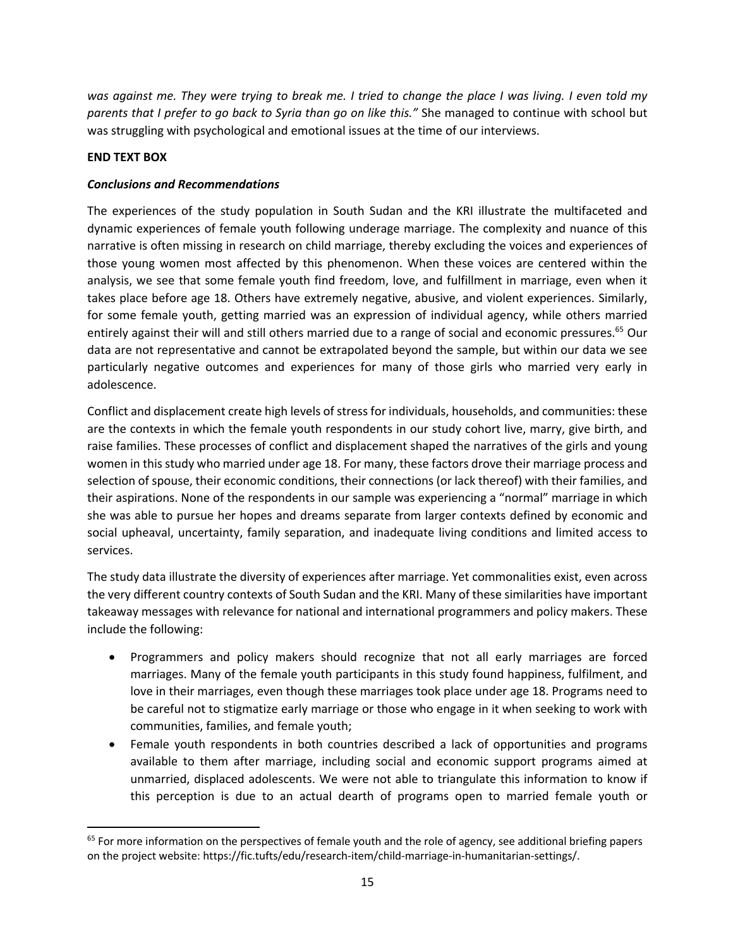*was against me. They were trying to break me. I tried to change the place I was living. I even told my parents that I prefer to go back to Syria than go on like this."* She managed to continue with school but was struggling with psychological and emotional issues at the time of our interviews.

### **END TEXT BOX**

### *Conclusions and Recommendations*

The experiences of the study population in South Sudan and the KRI illustrate the multifaceted and dynamic experiences of female youth following underage marriage. The complexity and nuance of this narrative is often missing in research on child marriage, thereby excluding the voices and experiences of those young women most affected by this phenomenon. When these voices are centered within the analysis, we see that some female youth find freedom, love, and fulfillment in marriage, even when it takes place before age 18. Others have extremely negative, abusive, and violent experiences. Similarly, for some female youth, getting married was an expression of individual agency, while others married entirely against their will and still others married due to a range of social and economic pressures.<sup>65</sup> Our data are not representative and cannot be extrapolated beyond the sample, but within our data we see particularly negative outcomes and experiences for many of those girls who married very early in adolescence.

Conflict and displacement create high levels of stress for individuals, households, and communities: these are the contexts in which the female youth respondents in our study cohort live, marry, give birth, and raise families. These processes of conflict and displacement shaped the narratives of the girls and young women in this study who married under age 18. For many, these factors drove their marriage process and selection of spouse, their economic conditions, their connections (or lack thereof) with their families, and their aspirations. None of the respondents in our sample was experiencing a "normal" marriage in which she was able to pursue her hopes and dreams separate from larger contexts defined by economic and social upheaval, uncertainty, family separation, and inadequate living conditions and limited access to services.

The study data illustrate the diversity of experiences after marriage. Yet commonalities exist, even across the very different country contexts of South Sudan and the KRI. Many of these similarities have important takeaway messages with relevance for national and international programmers and policy makers. These include the following:

- Programmers and policy makers should recognize that not all early marriages are forced marriages. Many of the female youth participants in this study found happiness, fulfilment, and love in their marriages, even though these marriages took place under age 18. Programs need to be careful not to stigmatize early marriage or those who engage in it when seeking to work with communities, families, and female youth;
- Female youth respondents in both countries described a lack of opportunities and programs available to them after marriage, including social and economic support programs aimed at unmarried, displaced adolescents. We were not able to triangulate this information to know if this perception is due to an actual dearth of programs open to married female youth or

 $65$  For more information on the perspectives of female youth and the role of agency, see additional briefing papers on the project website: https://fic.tufts/edu/research-item/child-marriage-in-humanitarian-settings/.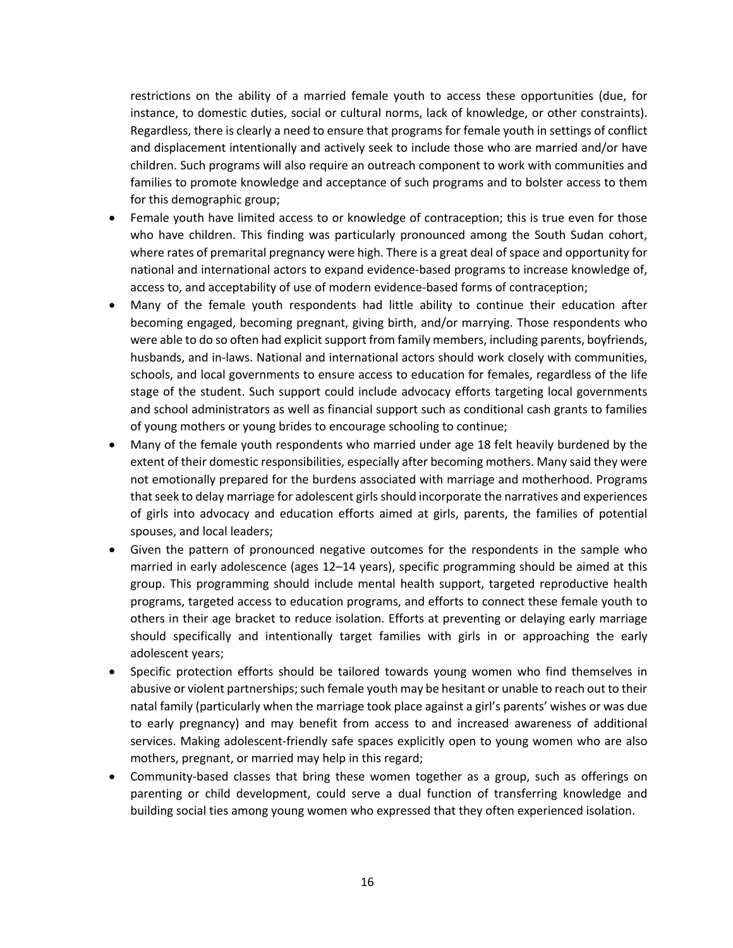restrictions on the ability of a married female youth to access these opportunities (due, for instance, to domestic duties, social or cultural norms, lack of knowledge, or other constraints). Regardless, there is clearly a need to ensure that programs for female youth in settings of conflict and displacement intentionally and actively seek to include those who are married and/or have children. Such programs will also require an outreach component to work with communities and families to promote knowledge and acceptance of such programs and to bolster access to them for this demographic group;

- Female youth have limited access to or knowledge of contraception; this is true even for those who have children. This finding was particularly pronounced among the South Sudan cohort, where rates of premarital pregnancy were high. There is a great deal of space and opportunity for national and international actors to expand evidence-based programs to increase knowledge of, access to, and acceptability of use of modern evidence-based forms of contraception;
- Many of the female youth respondents had little ability to continue their education after becoming engaged, becoming pregnant, giving birth, and/or marrying. Those respondents who were able to do so often had explicit support from family members, including parents, boyfriends, husbands, and in-laws. National and international actors should work closely with communities, schools, and local governments to ensure access to education for females, regardless of the life stage of the student. Such support could include advocacy efforts targeting local governments and school administrators as well as financial support such as conditional cash grants to families of young mothers or young brides to encourage schooling to continue;
- Many of the female youth respondents who married under age 18 felt heavily burdened by the extent of their domestic responsibilities, especially after becoming mothers. Many said they were not emotionally prepared for the burdens associated with marriage and motherhood. Programs that seek to delay marriage for adolescent girls should incorporate the narratives and experiences of girls into advocacy and education efforts aimed at girls, parents, the families of potential spouses, and local leaders;
- Given the pattern of pronounced negative outcomes for the respondents in the sample who married in early adolescence (ages 12–14 years), specific programming should be aimed at this group. This programming should include mental health support, targeted reproductive health programs, targeted access to education programs, and efforts to connect these female youth to others in their age bracket to reduce isolation. Efforts at preventing or delaying early marriage should specifically and intentionally target families with girls in or approaching the early adolescent years;
- Specific protection efforts should be tailored towards young women who find themselves in abusive or violent partnerships; such female youth may be hesitant or unable to reach out to their natal family (particularly when the marriage took place against a girl's parents' wishes or was due to early pregnancy) and may benefit from access to and increased awareness of additional services. Making adolescent-friendly safe spaces explicitly open to young women who are also mothers, pregnant, or married may help in this regard;
- Community-based classes that bring these women together as a group, such as offerings on parenting or child development, could serve a dual function of transferring knowledge and building social ties among young women who expressed that they often experienced isolation.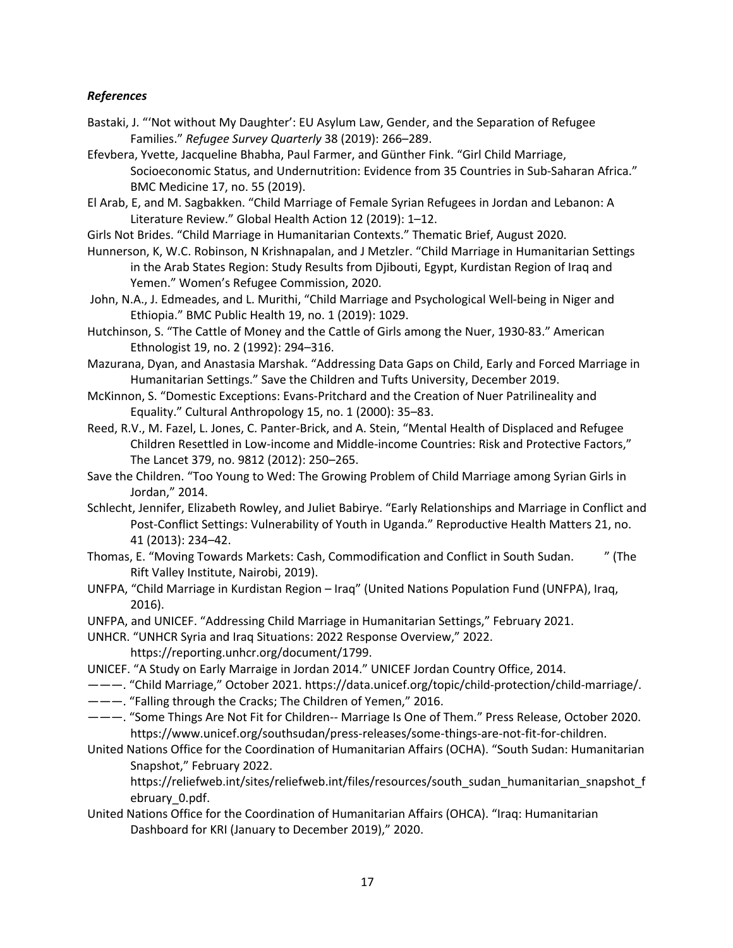### *References*

- Bastaki, J. "'Not without My Daughter': EU Asylum Law, Gender, and the Separation of Refugee Families." *Refugee Survey Quarterly* 38 (2019): 266–289.
- Efevbera, Yvette, Jacqueline Bhabha, Paul Farmer, and Günther Fink. "Girl Child Marriage, Socioeconomic Status, and Undernutrition: Evidence from 35 Countries in Sub-Saharan Africa." BMC Medicine 17, no. 55 (2019).
- El Arab, E, and M. Sagbakken. "Child Marriage of Female Syrian Refugees in Jordan and Lebanon: A Literature Review." Global Health Action 12 (2019): 1–12.
- Girls Not Brides. "Child Marriage in Humanitarian Contexts." Thematic Brief, August 2020.
- Hunnerson, K, W.C. Robinson, N Krishnapalan, and J Metzler. "Child Marriage in Humanitarian Settings in the Arab States Region: Study Results from Djibouti, Egypt, Kurdistan Region of Iraq and Yemen." Women's Refugee Commission, 2020.
- John, N.A., J. Edmeades, and L. Murithi, "Child Marriage and Psychological Well-being in Niger and Ethiopia." BMC Public Health 19, no. 1 (2019): 1029.
- Hutchinson, S. "The Cattle of Money and the Cattle of Girls among the Nuer, 1930-83." American Ethnologist 19, no. 2 (1992): 294–316.
- Mazurana, Dyan, and Anastasia Marshak. "Addressing Data Gaps on Child, Early and Forced Marriage in Humanitarian Settings." Save the Children and Tufts University, December 2019.
- McKinnon, S. "Domestic Exceptions: Evans-Pritchard and the Creation of Nuer Patrilineality and Equality." Cultural Anthropology 15, no. 1 (2000): 35–83.
- Reed, R.V., M. Fazel, L. Jones, C. Panter-Brick, and A. Stein, "Mental Health of Displaced and Refugee Children Resettled in Low-income and Middle-income Countries: Risk and Protective Factors," The Lancet 379, no. 9812 (2012): 250–265.
- Save the Children. "Too Young to Wed: The Growing Problem of Child Marriage among Syrian Girls in Jordan," 2014.
- Schlecht, Jennifer, Elizabeth Rowley, and Juliet Babirye. "Early Relationships and Marriage in Conflict and Post-Conflict Settings: Vulnerability of Youth in Uganda." Reproductive Health Matters 21, no. 41 (2013): 234–42.
- Thomas, E. "Moving Towards Markets: Cash, Commodification and Conflict in South Sudan. " (The Rift Valley Institute, Nairobi, 2019).
- UNFPA, "Child Marriage in Kurdistan Region Iraq" (United Nations Population Fund (UNFPA), Iraq, 2016).
- UNFPA, and UNICEF. "Addressing Child Marriage in Humanitarian Settings," February 2021.
- UNHCR. "UNHCR Syria and Iraq Situations: 2022 Response Overview," 2022.
	- https://reporting.unhcr.org/document/1799.
- UNICEF. "A Study on Early Marraige in Jordan 2014." UNICEF Jordan Country Office, 2014.
- ———. "Child Marriage," October 2021. https://data.unicef.org/topic/child-protection/child-marriage/.
- ———. "Falling through the Cracks; The Children of Yemen," 2016.
- ———. "Some Things Are Not Fit for Children-- Marriage Is One of Them." Press Release, October 2020. https://www.unicef.org/southsudan/press-releases/some-things-are-not-fit-for-children.
- United Nations Office for the Coordination of Humanitarian Affairs (OCHA). "South Sudan: Humanitarian Snapshot," February 2022.

https://reliefweb.int/sites/reliefweb.int/files/resources/south\_sudan\_humanitarian\_snapshot\_f ebruary\_0.pdf.

United Nations Office for the Coordination of Humanitarian Affairs (OHCA). "Iraq: Humanitarian Dashboard for KRI (January to December 2019)," 2020.